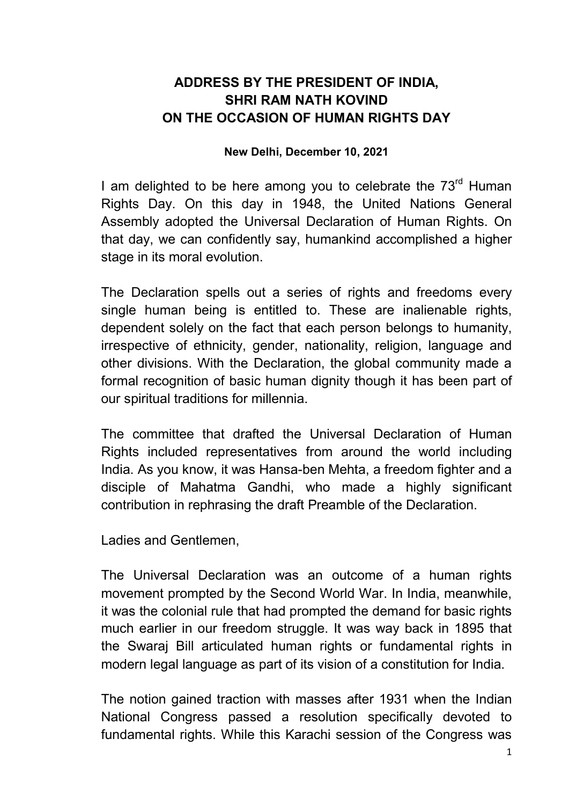## ADDRESS BY THE PRESIDENT OF INDIA, SHRI RAM NATH KOVIND ON THE OCCASION OF HUMAN RIGHTS DAY

## New Delhi, December 10, 2021

I am delighted to be here among you to celebrate the  $73<sup>rd</sup>$  Human Rights Day. On this day in 1948, the United Nations General Assembly adopted the Universal Declaration of Human Rights. On that day, we can confidently say, humankind accomplished a higher stage in its moral evolution.

The Declaration spells out a series of rights and freedoms every single human being is entitled to. These are inalienable rights, dependent solely on the fact that each person belongs to humanity, irrespective of ethnicity, gender, nationality, religion, language and other divisions. With the Declaration, the global community made a formal recognition of basic human dignity though it has been part of our spiritual traditions for millennia.

The committee that drafted the Universal Declaration of Human Rights included representatives from around the world including India. As you know, it was Hansa-ben Mehta, a freedom fighter and a disciple of Mahatma Gandhi, who made a highly significant contribution in rephrasing the draft Preamble of the Declaration.

Ladies and Gentlemen,

The Universal Declaration was an outcome of a human rights movement prompted by the Second World War. In India, meanwhile, it was the colonial rule that had prompted the demand for basic rights much earlier in our freedom struggle. It was way back in 1895 that the Swaraj Bill articulated human rights or fundamental rights in modern legal language as part of its vision of a constitution for India.

The notion gained traction with masses after 1931 when the Indian National Congress passed a resolution specifically devoted to fundamental rights. While this Karachi session of the Congress was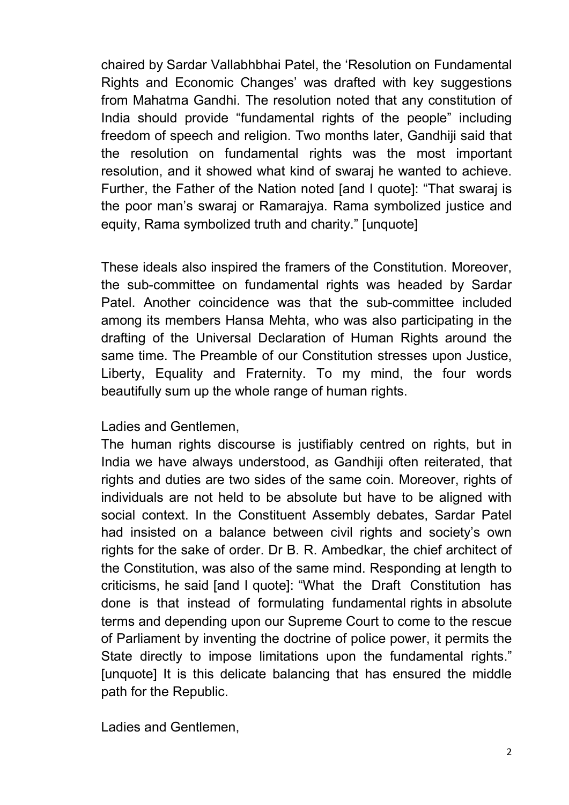chaired by Sardar Vallabhbhai Patel, the 'Resolution on Fundamental Rights and Economic Changes' was drafted with key suggestions from Mahatma Gandhi. The resolution noted that any constitution of India should provide "fundamental rights of the people" including freedom of speech and religion. Two months later, Gandhiji said that the resolution on fundamental rights was the most important resolution, and it showed what kind of swaraj he wanted to achieve. Further, the Father of the Nation noted [and I quote]: "That swaraj is the poor man's swaraj or Ramarajya. Rama symbolized justice and equity, Rama symbolized truth and charity." [unquote]

These ideals also inspired the framers of the Constitution. Moreover, the sub-committee on fundamental rights was headed by Sardar Patel. Another coincidence was that the sub-committee included among its members Hansa Mehta, who was also participating in the drafting of the Universal Declaration of Human Rights around the same time. The Preamble of our Constitution stresses upon Justice, Liberty, Equality and Fraternity. To my mind, the four words beautifully sum up the whole range of human rights.

## Ladies and Gentlemen,

The human rights discourse is justifiably centred on rights, but in India we have always understood, as Gandhiji often reiterated, that rights and duties are two sides of the same coin. Moreover, rights of individuals are not held to be absolute but have to be aligned with social context. In the Constituent Assembly debates, Sardar Patel had insisted on a balance between civil rights and society's own rights for the sake of order. Dr B. R. Ambedkar, the chief architect of the Constitution, was also of the same mind. Responding at length to criticisms, he said [and I quote]: "What the Draft Constitution has done is that instead of formulating fundamental rights in absolute terms and depending upon our Supreme Court to come to the rescue of Parliament by inventing the doctrine of police power, it permits the State directly to impose limitations upon the fundamental rights." [unquote] It is this delicate balancing that has ensured the middle path for the Republic.

Ladies and Gentlemen,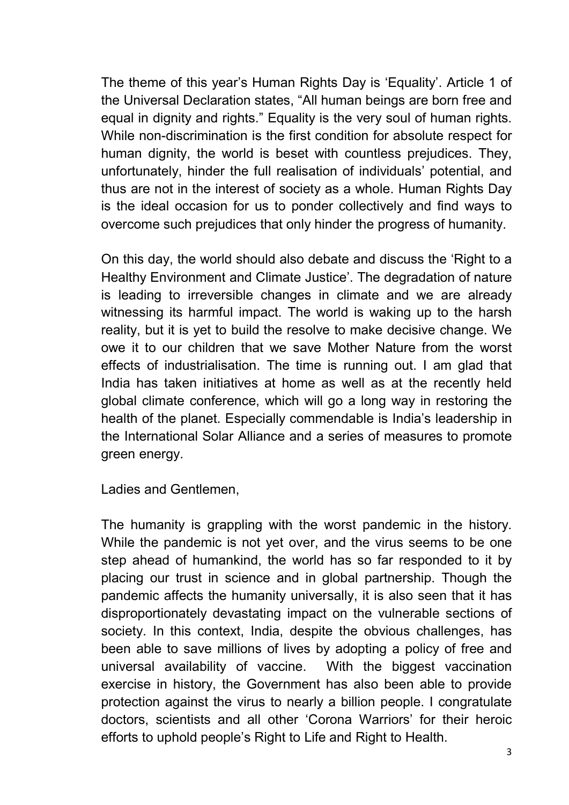The theme of this year's Human Rights Day is 'Equality'. Article 1 of the Universal Declaration states, "All human beings are born free and equal in dignity and rights." Equality is the very soul of human rights. While non-discrimination is the first condition for absolute respect for human dignity, the world is beset with countless prejudices. They, unfortunately, hinder the full realisation of individuals' potential, and thus are not in the interest of society as a whole. Human Rights Day is the ideal occasion for us to ponder collectively and find ways to overcome such prejudices that only hinder the progress of humanity.

On this day, the world should also debate and discuss the 'Right to a Healthy Environment and Climate Justice'. The degradation of nature is leading to irreversible changes in climate and we are already witnessing its harmful impact. The world is waking up to the harsh reality, but it is yet to build the resolve to make decisive change. We owe it to our children that we save Mother Nature from the worst effects of industrialisation. The time is running out. I am glad that India has taken initiatives at home as well as at the recently held global climate conference, which will go a long way in restoring the health of the planet. Especially commendable is India's leadership in the International Solar Alliance and a series of measures to promote green energy.

Ladies and Gentlemen,

The humanity is grappling with the worst pandemic in the history. While the pandemic is not yet over, and the virus seems to be one step ahead of humankind, the world has so far responded to it by placing our trust in science and in global partnership. Though the pandemic affects the humanity universally, it is also seen that it has disproportionately devastating impact on the vulnerable sections of society. In this context, India, despite the obvious challenges, has been able to save millions of lives by adopting a policy of free and universal availability of vaccine. With the biggest vaccination exercise in history, the Government has also been able to provide protection against the virus to nearly a billion people. I congratulate doctors, scientists and all other 'Corona Warriors' for their heroic efforts to uphold people's Right to Life and Right to Health.